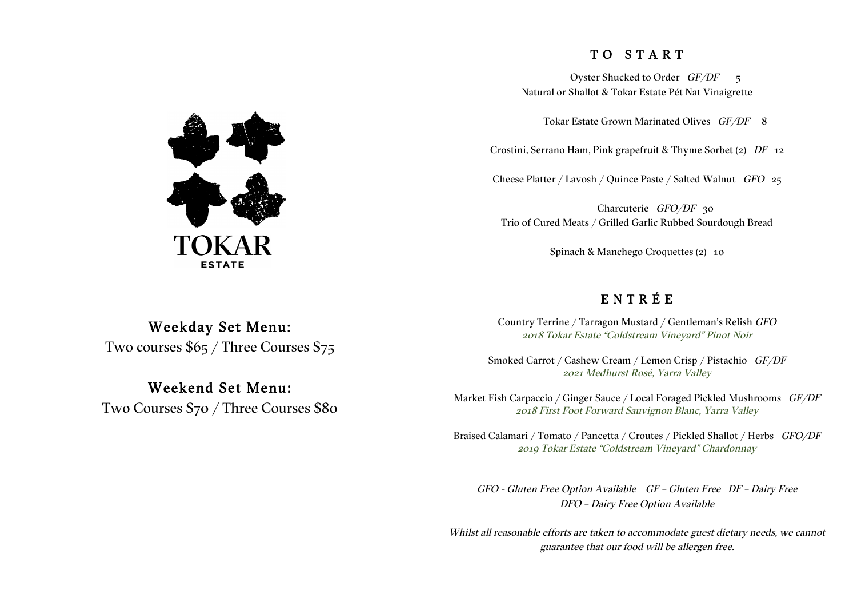### T O S T A R T

Oyster Shucked to Order  $GF/DF = 5$ Natural or Shallot & Tokar Estate Pét Nat Vinaigrette

Tokar Estate Grown Marinated Olives GF/DF 8

Crostini, Serrano Ham, Pink grapefruit & Thyme Sorbet (2) DF 12

Cheese Platter / Lavosh / Quince Paste / Salted Walnut GFO 25

Charcuterie GFO/DF 30 Trio of Cured Meats / Grilled Garlic Rubbed Sourdough Bread

Spinach & Manchego Croquettes (2) 10

### E N T R É E

Country Terrine / Tarragon Mustard / Gentleman's Relish GFO 2018 Tokar Estate "Coldstream Vineyard" Pinot Noir

Smoked Carrot / Cashew Cream / Lemon Crisp / Pistachio GF/DF 2021 Medhurst Rosé, Yarra Valley

Market Fish Carpaccio / Ginger Sauce / Local Foraged Pickled Mushrooms GF/DF 2018 First Foot Forward Sauvignon Blanc, Yarra Valley

Braised Calamari / Tomato / Pancetta / Croutes / Pickled Shallot / Herbs GFO/DF 2019 Tokar Estate "Coldstream Vineyard" Chardonnay

GFO - Gluten Free Option Available GF – Gluten Free DF – Dairy Free DFO – Dairy Free Option Available

Whilst all reasonable efforts are taken to accommodate guest dietary needs, we cannot guarantee that our food will be allergen free.



# Weekday Set Menu: Two courses \$65 / Three Courses \$75

## Weekend Set Menu: Two Courses \$70 / Three Courses \$80